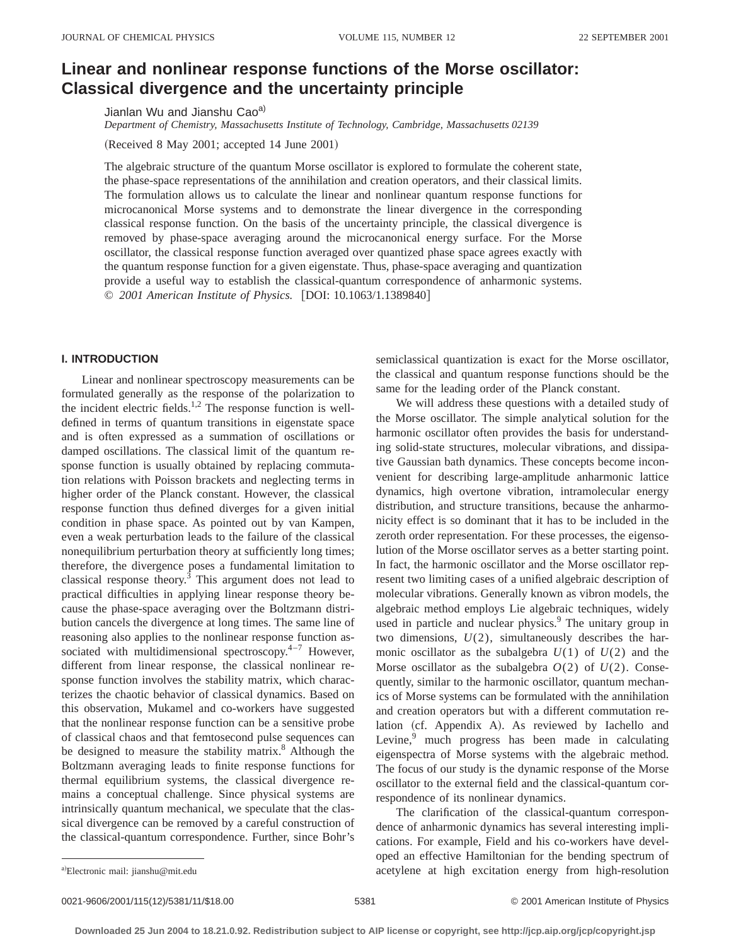# **Linear and nonlinear response functions of the Morse oscillator: Classical divergence and the uncertainty principle**

Jianlan Wu and Jianshu Cao<sup>a)</sup>

*Department of Chemistry, Massachusetts Institute of Technology, Cambridge, Massachusetts 02139*

(Received 8 May 2001; accepted 14 June 2001)

The algebraic structure of the quantum Morse oscillator is explored to formulate the coherent state, the phase-space representations of the annihilation and creation operators, and their classical limits. The formulation allows us to calculate the linear and nonlinear quantum response functions for microcanonical Morse systems and to demonstrate the linear divergence in the corresponding classical response function. On the basis of the uncertainty principle, the classical divergence is removed by phase-space averaging around the microcanonical energy surface. For the Morse oscillator, the classical response function averaged over quantized phase space agrees exactly with the quantum response function for a given eigenstate. Thus, phase-space averaging and quantization provide a useful way to establish the classical-quantum correspondence of anharmonic systems. © 2001 American Institute of Physics. [DOI: 10.1063/1.1389840]

#### **I. INTRODUCTION**

Linear and nonlinear spectroscopy measurements can be formulated generally as the response of the polarization to the incident electric fields.<sup>1,2</sup> The response function is welldefined in terms of quantum transitions in eigenstate space and is often expressed as a summation of oscillations or damped oscillations. The classical limit of the quantum response function is usually obtained by replacing commutation relations with Poisson brackets and neglecting terms in higher order of the Planck constant. However, the classical response function thus defined diverges for a given initial condition in phase space. As pointed out by van Kampen, even a weak perturbation leads to the failure of the classical nonequilibrium perturbation theory at sufficiently long times; therefore, the divergence poses a fundamental limitation to classical response theory.3 This argument does not lead to practical difficulties in applying linear response theory because the phase-space averaging over the Boltzmann distribution cancels the divergence at long times. The same line of reasoning also applies to the nonlinear response function associated with multidimensional spectroscopy.<sup>4-7</sup> However, different from linear response, the classical nonlinear response function involves the stability matrix, which characterizes the chaotic behavior of classical dynamics. Based on this observation, Mukamel and co-workers have suggested that the nonlinear response function can be a sensitive probe of classical chaos and that femtosecond pulse sequences can be designed to measure the stability matrix. $8$  Although the Boltzmann averaging leads to finite response functions for thermal equilibrium systems, the classical divergence remains a conceptual challenge. Since physical systems are intrinsically quantum mechanical, we speculate that the classical divergence can be removed by a careful construction of the classical-quantum correspondence. Further, since Bohr's

semiclassical quantization is exact for the Morse oscillator, the classical and quantum response functions should be the same for the leading order of the Planck constant.

We will address these questions with a detailed study of the Morse oscillator. The simple analytical solution for the harmonic oscillator often provides the basis for understanding solid-state structures, molecular vibrations, and dissipative Gaussian bath dynamics. These concepts become inconvenient for describing large-amplitude anharmonic lattice dynamics, high overtone vibration, intramolecular energy distribution, and structure transitions, because the anharmonicity effect is so dominant that it has to be included in the zeroth order representation. For these processes, the eigensolution of the Morse oscillator serves as a better starting point. In fact, the harmonic oscillator and the Morse oscillator represent two limiting cases of a unified algebraic description of molecular vibrations. Generally known as vibron models, the algebraic method employs Lie algebraic techniques, widely used in particle and nuclear physics.<sup>9</sup> The unitary group in two dimensions,  $U(2)$ , simultaneously describes the harmonic oscillator as the subalgebra  $U(1)$  of  $U(2)$  and the Morse oscillator as the subalgebra  $O(2)$  of  $U(2)$ . Consequently, similar to the harmonic oscillator, quantum mechanics of Morse systems can be formulated with the annihilation and creation operators but with a different commutation relation (cf. Appendix A). As reviewed by Iachello and Levine, $9$  much progress has been made in calculating eigenspectra of Morse systems with the algebraic method. The focus of our study is the dynamic response of the Morse oscillator to the external field and the classical-quantum correspondence of its nonlinear dynamics.

The clarification of the classical-quantum correspondence of anharmonic dynamics has several interesting implications. For example, Field and his co-workers have developed an effective Hamiltonian for the bending spectrum of acetylene at high excitation energy from high-resolution

0021-9606/2001/115(12)/5381/11/\$18.00 © 2001 American Institute of Physics 5381

Electronic mail: jianshu@mit.edu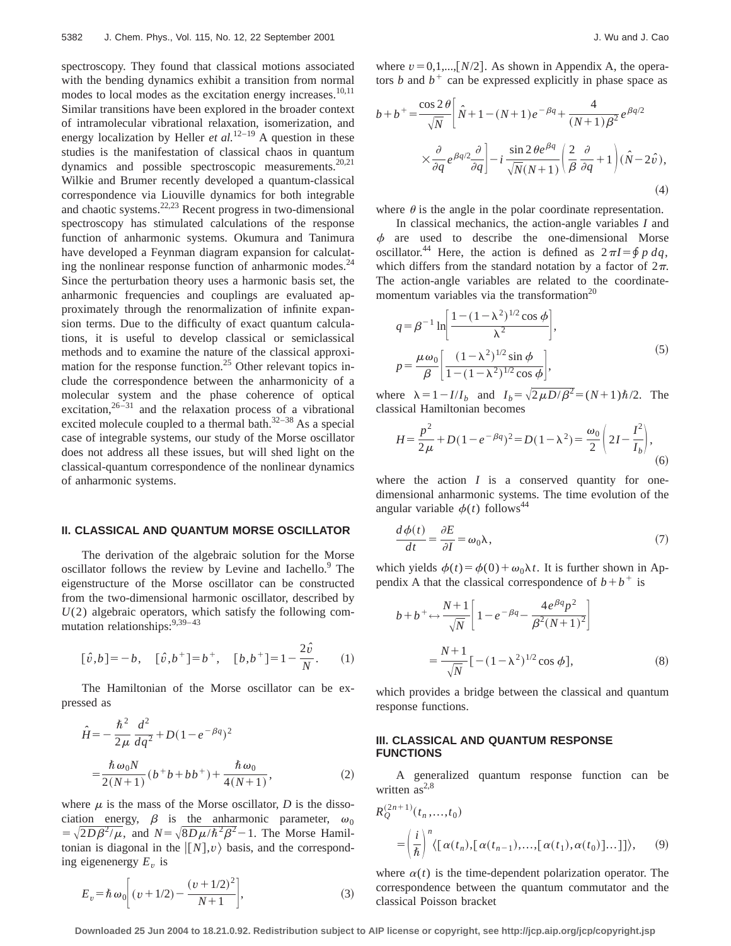spectroscopy. They found that classical motions associated with the bending dynamics exhibit a transition from normal modes to local modes as the excitation energy increases.<sup>10,11</sup> Similar transitions have been explored in the broader context of intramolecular vibrational relaxation, isomerization, and energy localization by Heller *et al.*<sup>12–19</sup> A question in these studies is the manifestation of classical chaos in quantum dynamics and possible spectroscopic measurements.<sup>20,21</sup> Wilkie and Brumer recently developed a quantum-classical correspondence via Liouville dynamics for both integrable and chaotic systems. $22,23$  Recent progress in two-dimensional spectroscopy has stimulated calculations of the response function of anharmonic systems. Okumura and Tanimura have developed a Feynman diagram expansion for calculating the nonlinear response function of anharmonic modes.<sup>24</sup> Since the perturbation theory uses a harmonic basis set, the anharmonic frequencies and couplings are evaluated approximately through the renormalization of infinite expansion terms. Due to the difficulty of exact quantum calculations, it is useful to develop classical or semiclassical methods and to examine the nature of the classical approximation for the response function.<sup>25</sup> Other relevant topics include the correspondence between the anharmonicity of a molecular system and the phase coherence of optical excitation, $26-31$  and the relaxation process of a vibrational excited molecule coupled to a thermal bath. $32-38$  As a special case of integrable systems, our study of the Morse oscillator does not address all these issues, but will shed light on the classical-quantum correspondence of the nonlinear dynamics of anharmonic systems.

### **II. CLASSICAL AND QUANTUM MORSE OSCILLATOR**

The derivation of the algebraic solution for the Morse oscillator follows the review by Levine and Iachello.<sup>9</sup> The eigenstructure of the Morse oscillator can be constructed from the two-dimensional harmonic oscillator, described by *U*(2) algebraic operators, which satisfy the following commutation relationships:<sup>9,39-43</sup>

$$
[\hat{v},b] = -b, \quad [\hat{v},b^+] = b^+, \quad [b,b^+] = 1 - \frac{2\hat{v}}{N}.
$$
 (1)

The Hamiltonian of the Morse oscillator can be expressed as

$$
\hat{H} = -\frac{\hbar^2}{2\mu} \frac{d^2}{dq^2} + D(1 - e^{-\beta q})^2
$$

$$
= \frac{\hbar \omega_0 N}{2(N+1)} (b^+ b + b b^+) + \frac{\hbar \omega_0}{4(N+1)},
$$
(2)

where  $\mu$  is the mass of the Morse oscillator, *D* is the dissociation energy,  $\beta$  is the anharmonic parameter,  $\omega_0$  $= \sqrt{2D\beta^2/\mu}$ , and  $N = \sqrt{8D\mu/\hbar^2\beta^2} - 1$ . The Morse Hamiltonian is diagonal in the  $\vert [N], v \rangle$  basis, and the corresponding eigenenergy  $E<sub>v</sub>$  is

$$
E_v = \hbar \omega_0 \bigg[ (v + 1/2) - \frac{(v + 1/2)^2}{N + 1} \bigg],
$$
\n(3)

where  $v=0,1,...,[N/2]$ . As shown in Appendix A, the operators *b* and  $b^+$  can be expressed explicitly in phase space as

$$
b+b+\frac{\cos 2\theta}{\sqrt{N}}\left[\hat{N}+1-(N+1)e^{-\beta q}+\frac{4}{(N+1)\beta^2}e^{\beta q/2}\times\frac{\partial}{\partial q}e^{\beta q/2}\frac{\partial}{\partial q}\right]-i\frac{\sin 2\theta e^{\beta q}}{\sqrt{N}(N+1)}\left(\frac{2}{\beta}\frac{\partial}{\partial q}+1\right)(\hat{N}-2\hat{v}),\tag{4}
$$

where  $\theta$  is the angle in the polar coordinate representation.

In classical mechanics, the action-angle variables *I* and  $\phi$  are used to describe the one-dimensional Morse oscillator.<sup>44</sup> Here, the action is defined as  $2\pi I = \oint p \, dq$ , which differs from the standard notation by a factor of  $2\pi$ . The action-angle variables are related to the coordinatemomentum variables via the transformation $^{20}$ 

$$
q = \beta^{-1} \ln \left[ \frac{1 - (1 - \lambda^2)^{1/2} \cos \phi}{\lambda^2} \right],
$$
  

$$
p = \frac{\mu \omega_0}{\beta} \left[ \frac{(1 - \lambda^2)^{1/2} \sin \phi}{1 - (1 - \lambda^2)^{1/2} \cos \phi} \right],
$$
 (5)

where  $\lambda = 1 - I/I_b$  and  $I_b = \sqrt{2 \mu D/\beta^2} = (N+1)\hbar/2$ . The classical Hamiltonian becomes

$$
H = \frac{p^2}{2\mu} + D(1 - e^{-\beta q})^2 = D(1 - \lambda^2) = \frac{\omega_0}{2} \left( 2I - \frac{I^2}{I_b} \right),\tag{6}
$$

where the action  $I$  is a conserved quantity for onedimensional anharmonic systems. The time evolution of the angular variable  $\phi(t)$  follows<sup>44</sup>

$$
\frac{d\phi(t)}{dt} = \frac{\partial E}{\partial I} = \omega_0 \lambda, \qquad (7)
$$

which yields  $\phi(t) = \phi(0) + \omega_0 \lambda t$ . It is further shown in Appendix A that the classical correspondence of  $b+b^+$  is

$$
b + b^{+} \leftrightarrow \frac{N+1}{\sqrt{N}} \left[ 1 - e^{-\beta q} - \frac{4e^{\beta q}p^{2}}{\beta^{2}(N+1)^{2}} \right]
$$

$$
= \frac{N+1}{\sqrt{N}} \left[ -(1-\lambda^{2})^{1/2} \cos \phi \right],
$$
(8)

which provides a bridge between the classical and quantum response functions.

### **III. CLASSICAL AND QUANTUM RESPONSE FUNCTIONS**

A generalized quantum response function can be written  $as^{2,8}$ 

$$
R_Q^{(2n+1)}(t_n, \ldots, t_0)
$$
  
=  $\left(\frac{i}{\hbar}\right)^n \langle \left[\alpha(t_n), \left[\alpha(t_{n-1}), \ldots, \left[\alpha(t_1), \alpha(t_0)\right] \ldots\right]\right] \rangle,$  (9)

where  $\alpha(t)$  is the time-dependent polarization operator. The correspondence between the quantum commutator and the classical Poisson bracket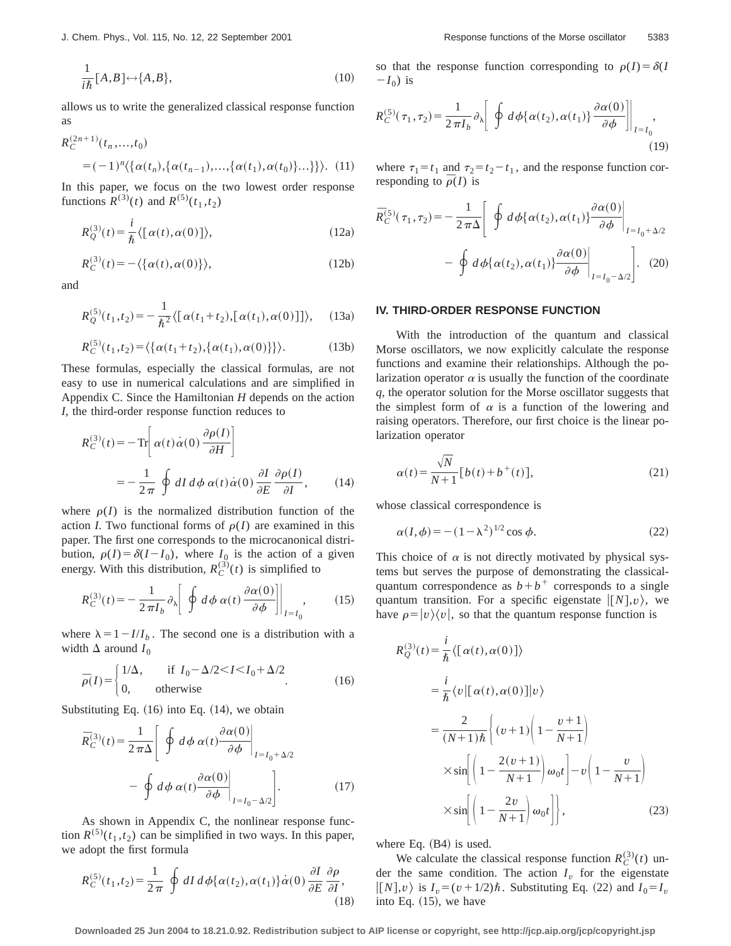$$
\frac{1}{i\hbar}[A,B] \leftrightarrow \{A,B\},\tag{10}
$$

allows us to write the generalized classical response function as

$$
R_C^{(2n+1)}(t_n, \ldots, t_0)
$$
  
=  $(-1)^n \langle \{ \alpha(t_n), \{ \alpha(t_{n-1}), \ldots, \{ \alpha(t_1), \alpha(t_0) \} \ldots \} \} \rangle$ . (11)

In this paper, we focus on the two lowest order response functions  $R^{(3)}(t)$  and  $R^{(5)}(t_1,t_2)$ 

$$
R_Q^{(3)}(t) = \frac{i}{\hbar} \langle [\alpha(t), \alpha(0)] \rangle, \qquad (12a)
$$

$$
R_C^{(3)}(t) = -\langle \{\alpha(t), \alpha(0)\}\rangle, \tag{12b}
$$

and

$$
R_Q^{(5)}(t_1, t_2) = -\frac{1}{\hbar^2} \langle [\alpha(t_1 + t_2), [\alpha(t_1), \alpha(0)]] \rangle, \quad (13a)
$$

$$
R_C^{(5)}(t_1, t_2) = \langle \{ \alpha(t_1 + t_2), \{ \alpha(t_1), \alpha(0) \} \} \rangle.
$$
 (13b)

These formulas, especially the classical formulas, are not easy to use in numerical calculations and are simplified in Appendix C. Since the Hamiltonian *H* depends on the action *I*, the third-order response function reduces to

$$
R_C^{(3)}(t) = -\operatorname{Tr}\left[\alpha(t)\dot{\alpha}(0)\frac{\partial\rho(I)}{\partial H}\right]
$$
  
= 
$$
-\frac{1}{2\pi}\oint dI d\phi \,\alpha(t)\dot{\alpha}(0)\frac{\partial I}{\partial E}\frac{\partial\rho(I)}{\partial I}, \qquad (14)
$$

where  $\rho(I)$  is the normalized distribution function of the action *I*. Two functional forms of  $\rho(I)$  are examined in this paper. The first one corresponds to the microcanonical distribution,  $\rho(I) = \delta(I - I_0)$ , where  $I_0$  is the action of a given energy. With this distribution,  $R_C^{(3)}(t)$  is simplified to

$$
R_C^{(3)}(t) = -\frac{1}{2\pi I_b} \partial_{\lambda} \left[ \oint d\phi \, \alpha(t) \frac{\partial \alpha(0)}{\partial \phi} \right] \Big|_{I=I_0}, \qquad (15)
$$

where  $\lambda = 1 - I/I_b$ . The second one is a distribution with a width  $\Delta$  around  $I_0$ 

$$
\bar{\rho}(I) = \begin{cases} 1/\Delta, & \text{if } I_0 - \Delta/2 < I < I_0 + \Delta/2 \\ 0, & \text{otherwise} \end{cases} \tag{16}
$$

Substituting Eq.  $(16)$  into Eq.  $(14)$ , we obtain

$$
\bar{R}_C^{(3)}(t) = \frac{1}{2\pi\Delta} \left[ \left. \oint d\phi \, \alpha(t) \frac{\partial \alpha(0)}{\partial \phi} \right|_{I = I_0 + \Delta/2} - \oint d\phi \, \alpha(t) \frac{\partial \alpha(0)}{\partial \phi} \Big|_{I = I_0 - \Delta/2} \right]. \tag{17}
$$

As shown in Appendix C, the nonlinear response function  $R^{(5)}(t_1,t_2)$  can be simplified in two ways. In this paper, we adopt the first formula

$$
R_C^{(5)}(t_1, t_2) = \frac{1}{2\pi} \oint dI \, d\phi \{ \alpha(t_2), \alpha(t_1) \} \dot{\alpha}(0) \, \frac{\partial I}{\partial E} \, \frac{\partial \rho}{\partial I},\tag{18}
$$

so that the response function corresponding to  $\rho(I) = \delta(I)$  $-I_0$ ) is

$$
R_C^{(5)}(\tau_1, \tau_2) = \frac{1}{2\pi I_b} \partial_{\lambda} \left[ \left. \oint d\phi \{ \alpha(t_2), \alpha(t_1) \} \frac{\partial \alpha(0)}{\partial \phi} \right] \right|_{I = I_0},
$$
\n(19)

where  $\tau_1 = t_1$  and  $\tau_2 = t_2 - t_1$ , and the response function corresponding to  $\bar{\rho}(I)$  is

$$
\bar{R}_{C}^{(5)}(\tau_{1},\tau_{2}) = -\frac{1}{2\pi\Delta} \left[ \left. \oint d\phi \{ \alpha(t_{2}), \alpha(t_{1}) \} \frac{\partial \alpha(0)}{\partial \phi} \right|_{I=I_{0}+\Delta/2} - \left. \oint d\phi \{ \alpha(t_{2}), \alpha(t_{1}) \} \frac{\partial \alpha(0)}{\partial \phi} \right|_{I=I_{0}-\Delta/2} \right]. \tag{20}
$$

#### **IV. THIRD-ORDER RESPONSE FUNCTION**

With the introduction of the quantum and classical Morse oscillators, we now explicitly calculate the response functions and examine their relationships. Although the polarization operator  $\alpha$  is usually the function of the coordinate *q*, the operator solution for the Morse oscillator suggests that the simplest form of  $\alpha$  is a function of the lowering and raising operators. Therefore, our first choice is the linear polarization operator

$$
\alpha(t) = \frac{\sqrt{N}}{N+1} \left[ b(t) + b^+(t) \right],\tag{21}
$$

whose classical correspondence is

$$
\alpha(I,\phi) = -(1-\lambda^2)^{1/2}\cos\phi.
$$
 (22)

This choice of  $\alpha$  is not directly motivated by physical systems but serves the purpose of demonstrating the classicalquantum correspondence as  $b+b^+$  corresponds to a single quantum transition. For a specific eigenstate  $|(N|, v)$ , we have  $\rho = |v\rangle\langle v|$ , so that the quantum response function is

$$
R_Q^{(3)}(t) = \frac{i}{\hbar} \langle [\alpha(t), \alpha(0)] \rangle
$$
  
\n
$$
= \frac{i}{\hbar} \langle v | [\alpha(t), \alpha(0)] | v \rangle
$$
  
\n
$$
= \frac{2}{(N+1)\hbar} \left\{ (v+1) \left( 1 - \frac{v+1}{N+1} \right) \right\}
$$
  
\n
$$
\times \sin \left[ \left( 1 - \frac{2(v+1)}{N+1} \right) \omega_0 t \right] - v \left( 1 - \frac{v}{N+1} \right)
$$
  
\n
$$
\times \sin \left[ \left( 1 - \frac{2v}{N+1} \right) \omega_0 t \right],
$$
 (23)

where Eq.  $(B4)$  is used.

We calculate the classical response function  $R_C^{(3)}(t)$  under the same condition. The action  $I_v$  for the eigenstate  $\vert [N], v \rangle$  is  $I_v = (v + 1/2)\hbar$ . Substituting Eq. (22) and  $I_0 = I_v$ into Eq.  $(15)$ , we have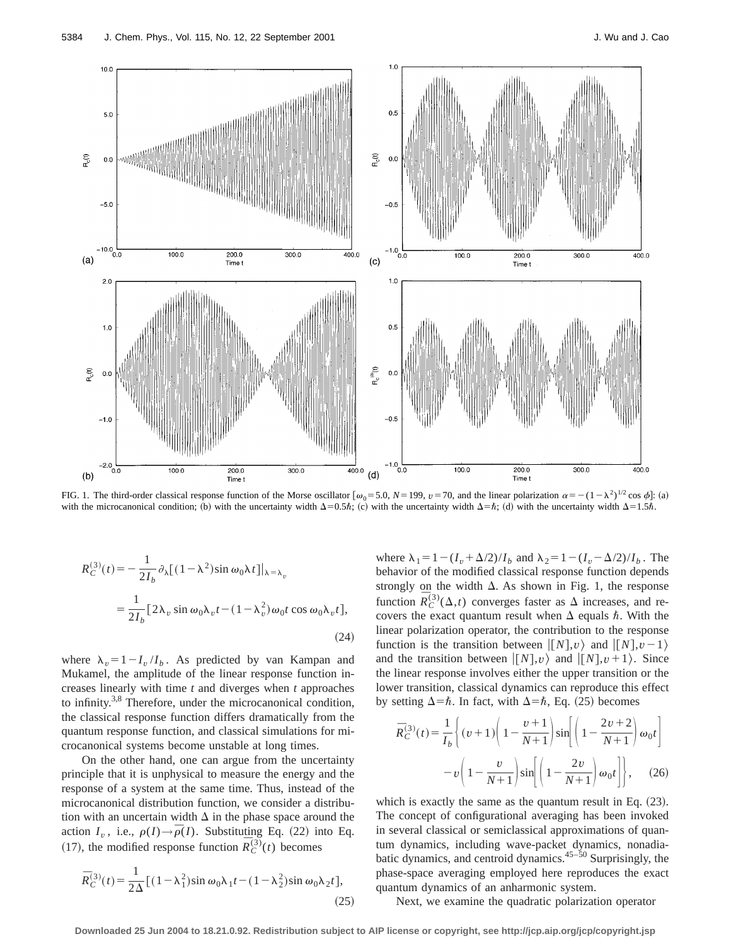

FIG. 1. The third-order classical response function of the Morse oscillator  $[\omega_0 = 5.0, N = 199, v = 70,$  and the linear polarization  $\alpha = -(1 - \lambda^2)^{1/2} \cos \phi$ : (a) with the microcanonical condition; (b) with the uncertainty width  $\Delta=0.5\hbar$ ; (c) with the uncertainty width  $\Delta=\hbar$ ; (d) with the uncertainty width  $\Delta=1.5\hbar$ .

$$
R_C^{(3)}(t) = -\frac{1}{2I_b} \partial_{\lambda} [(1 - \lambda^2) \sin \omega_0 \lambda t] |_{\lambda = \lambda_v}
$$
  
= 
$$
\frac{1}{2I_b} [2\lambda_v \sin \omega_0 \lambda_v t - (1 - \lambda_v^2) \omega_0 t \cos \omega_0 \lambda_v t],
$$
  
(24)

where  $\lambda_v = 1 - I_v/I_b$ . As predicted by van Kampan and Mukamel, the amplitude of the linear response function increases linearly with time *t* and diverges when *t* approaches to infinity.<sup>3,8</sup> Therefore, under the microcanonical condition, the classical response function differs dramatically from the quantum response function, and classical simulations for microcanonical systems become unstable at long times.

On the other hand, one can argue from the uncertainty principle that it is unphysical to measure the energy and the response of a system at the same time. Thus, instead of the microcanonical distribution function, we consider a distribution with an uncertain width  $\Delta$  in the phase space around the action  $I_v$ , i.e.,  $\rho(I) \rightarrow \bar{\rho}(I)$ . Substituting Eq. (22) into Eq.  $(17)$ , the modified response function  $\overline{R}_{C}^{(3)}(t)$  becomes

$$
\overline{R}_C^{(3)}(t) = \frac{1}{2\Delta} \left[ (1 - \lambda_1^2) \sin \omega_0 \lambda_1 t - (1 - \lambda_2^2) \sin \omega_0 \lambda_2 t \right],\tag{25}
$$

where  $\lambda_1 = 1 - (I_v + \Delta/2)/I_b$  and  $\lambda_2 = 1 - (I_v - \Delta/2)/I_b$ . The behavior of the modified classical response function depends strongly on the width  $\Delta$ . As shown in Fig. 1, the response function  $\overline{R}_{C}^{(3)}(\Delta,t)$  converges faster as  $\Delta$  increases, and recovers the exact quantum result when  $\Delta$  equals  $\hbar$ . With the linear polarization operator, the contribution to the response function is the transition between  $\langle [N], v \rangle$  and  $\langle [N], v-1 \rangle$ and the transition between  $\vert [N], v \rangle$  and  $\vert [N], v+1 \rangle$ . Since the linear response involves either the upper transition or the lower transition, classical dynamics can reproduce this effect by setting  $\Delta = \hbar$ . In fact, with  $\Delta = \hbar$ , Eq. (25) becomes

$$
\overline{R}_{C}^{(3)}(t) = \frac{1}{I_b} \left\{ (v+1) \left( 1 - \frac{v+1}{N+1} \right) \sin \left[ \left( 1 - \frac{2v+2}{N+1} \right) \omega_0 t \right] - v \left( 1 - \frac{v}{N+1} \right) \sin \left[ \left( 1 - \frac{2v}{N+1} \right) \omega_0 t \right] \right\}, \quad (26)
$$

which is exactly the same as the quantum result in Eq.  $(23)$ . The concept of configurational averaging has been invoked in several classical or semiclassical approximations of quantum dynamics, including wave-packet dynamics, nonadiabatic dynamics, and centroid dynamics. $45-50$  Surprisingly, the phase-space averaging employed here reproduces the exact quantum dynamics of an anharmonic system.

Next, we examine the quadratic polarization operator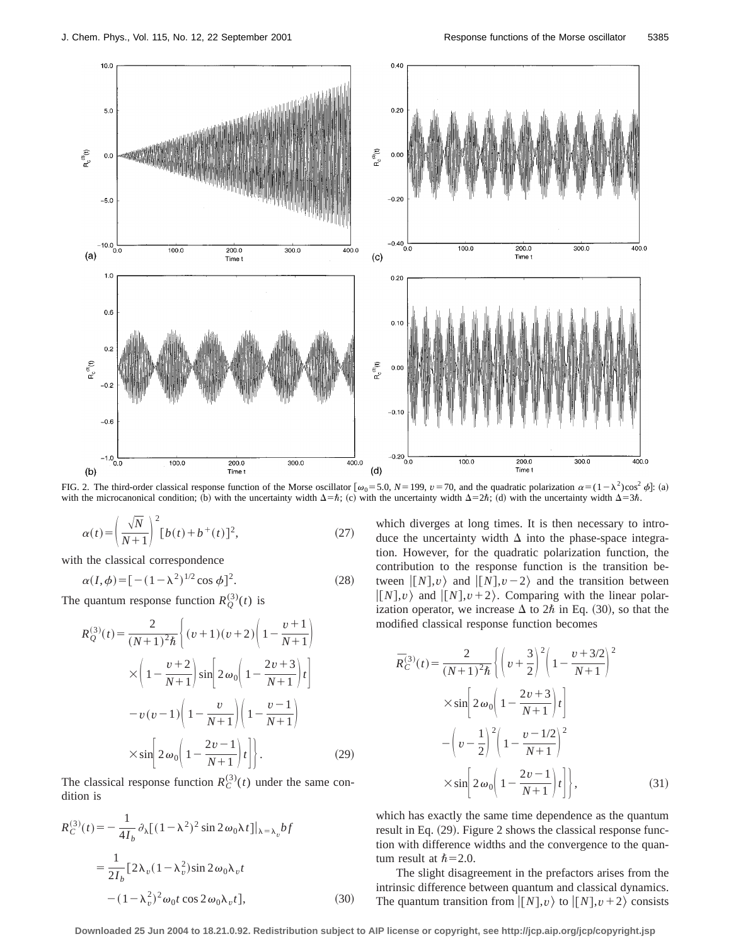

FIG. 2. The third-order classical response function of the Morse oscillator  $[\omega_0 = 5.0, N = 199, v = 70,$  and the quadratic polarization  $\alpha = (1 - \lambda^2)\cos^2 \phi$ : (a) with the microcanonical condition; (b) with the uncertainty width  $\Delta = \hbar$ ; (c) with the uncertainty width  $\Delta = 2\hbar$ ; (d) with the uncertainty width  $\Delta = 3\hbar$ .

$$
\alpha(t) = \left(\frac{\sqrt{N}}{N+1}\right)^2 [b(t) + b^+(t)]^2, \tag{27}
$$

with the classical correspondence

$$
\alpha(I,\phi) = [-(1-\lambda^2)^{1/2}\cos\phi]^2.
$$
 (28)

The quantum response function  $R_Q^{(3)}(t)$  is

$$
R_Q^{(3)}(t) = \frac{2}{(N+1)^2 \hbar} \left\{ (v+1)(v+2) \left( 1 - \frac{v+1}{N+1} \right) \right\}
$$
  
 
$$
\times \left( 1 - \frac{v+2}{N+1} \right) \sin \left[ 2 \omega_0 \left( 1 - \frac{2v+3}{N+1} \right) t \right]
$$
  
 
$$
-v(v-1) \left( 1 - \frac{v}{N+1} \right) \left( 1 - \frac{v-1}{N+1} \right)
$$
  
 
$$
\times \sin \left[ 2 \omega_0 \left( 1 - \frac{2v-1}{N+1} \right) t \right].
$$
 (29)

The classical response function  $R_C^{(3)}(t)$  under the same condition is

$$
R_C^{(3)}(t) = -\frac{1}{4I_b} \partial_{\lambda} [(1 - \lambda^2)^2 \sin 2\omega_0 \lambda t] |_{\lambda = \lambda_v} bf
$$
  
= 
$$
\frac{1}{2I_b} [2\lambda_v (1 - \lambda_v^2) \sin 2\omega_0 \lambda_v t
$$

$$
- (1 - \lambda_v^2)^2 \omega_0 t \cos 2\omega_0 \lambda_v t],
$$
 (30)

which diverges at long times. It is then necessary to introduce the uncertainty width  $\Delta$  into the phase-space integration. However, for the quadratic polarization function, the contribution to the response function is the transition between  $\vert [N], v \rangle$  and  $\vert [N], v - 2 \rangle$  and the transition between  $\vert [N], v \rangle$  and  $\vert [N], v+2 \rangle$ . Comparing with the linear polarization operator, we increase  $\Delta$  to  $2\hbar$  in Eq. (30), so that the modified classical response function becomes

$$
\bar{R}_{C}^{(3)}(t) = \frac{2}{(N+1)^{2}\hbar} \left\{ \left( v + \frac{3}{2} \right)^{2} \left( 1 - \frac{v + 3/2}{N+1} \right)^{2} \right\} \n\times \sin \left[ 2 \omega_{0} \left( 1 - \frac{2v + 3}{N+1} \right) t \right] \n- \left( v - \frac{1}{2} \right)^{2} \left( 1 - \frac{v - 1/2}{N+1} \right)^{2} \n\times \sin \left[ 2 \omega_{0} \left( 1 - \frac{2v - 1}{N+1} \right) t \right],
$$
\n(31)

which has exactly the same time dependence as the quantum result in Eq.  $(29)$ . Figure 2 shows the classical response function with difference widths and the convergence to the quantum result at  $\hbar$  = 2.0.

The slight disagreement in the prefactors arises from the intrinsic difference between quantum and classical dynamics. The quantum transition from  $\langle [N], v \rangle$  to  $\langle [N], v+2 \rangle$  consists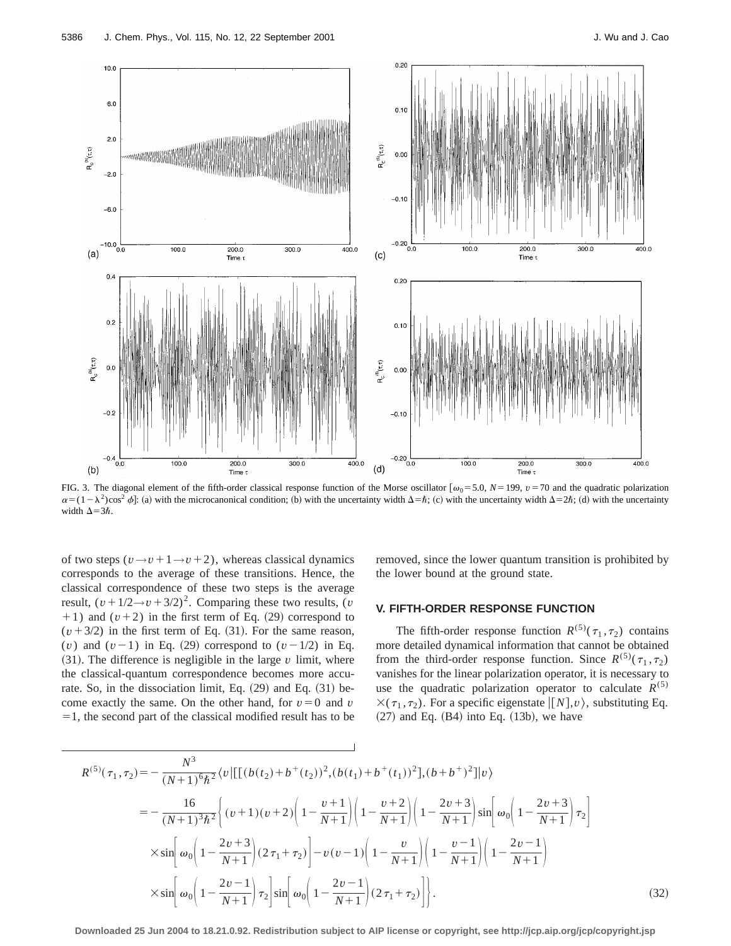

FIG. 3. The diagonal element of the fifth-order classical response function of the Morse oscillator  $[\omega_0 = 5.0, N = 199, \nu = 70$  and the quadratic polarization  $\alpha = (1 - \lambda^2)\cos^2 \phi$ : (a) with the microcanonical condition; (b) with the uncertainty width  $\Delta = \hbar$ ; (c) with the uncertainty width  $\Delta = 2\hbar$ ; (d) with the uncertainty width  $\Delta=3\hbar$ .

of two steps  $(v \rightarrow v+1 \rightarrow v+2)$ , whereas classical dynamics corresponds to the average of these transitions. Hence, the classical correspondence of these two steps is the average result,  $(v + 1/2 \rightarrow v + 3/2)^2$ . Comparing these two results, (*v*  $+1$ ) and  $(v+2)$  in the first term of Eq. (29) correspond to  $(v+3/2)$  in the first term of Eq. (31). For the same reason, (*v*) and  $(v-1)$  in Eq. (29) correspond to  $(v-1/2)$  in Eq.  $(31)$ . The difference is negligible in the large  $v$  limit, where the classical-quantum correspondence becomes more accurate. So, in the dissociation limit, Eq.  $(29)$  and Eq.  $(31)$  become exactly the same. On the other hand, for  $v=0$  and  $v$  $=1$ , the second part of the classical modified result has to be

removed, since the lower quantum transition is prohibited by the lower bound at the ground state.

#### **V. FIFTH-ORDER RESPONSE FUNCTION**

The fifth-order response function  $R^{(5)}(\tau_1, \tau_2)$  contains more detailed dynamical information that cannot be obtained from the third-order response function. Since  $R^{(5)}(\tau_1, \tau_2)$ vanishes for the linear polarization operator, it is necessary to use the quadratic polarization operator to calculate  $R^{(5)}$  $\times (\tau_1, \tau_2)$ . For a specific eigenstate  $\vert [N], v \rangle$ , substituting Eq.  $(27)$  and Eq.  $(B4)$  into Eq.  $(13b)$ , we have

$$
R^{(5)}(\tau_1, \tau_2) = -\frac{N^3}{(N+1)^6 \hbar^2} \langle v | [[(b(t_2) + b^+(t_2))^2, (b(t_1) + b^+(t_1))^2], (b+b^+)^2] | v \rangle
$$
  
\n
$$
= -\frac{16}{(N+1)^3 \hbar^2} \left\{ (v+1)(v+2) \left( 1 - \frac{v+1}{N+1} \right) \left( 1 - \frac{v+2}{N+1} \right) \left( 1 - \frac{2v+3}{N+1} \right) \sin \left[ \omega_0 \left( 1 - \frac{2v+3}{N+1} \right) \tau_2 \right] \right\}
$$
  
\n
$$
\times \sin \left[ \omega_0 \left( 1 - \frac{2v+3}{N+1} \right) (2\tau_1 + \tau_2) \right] - v(v-1) \left( 1 - \frac{v}{N+1} \right) \left( 1 - \frac{v-1}{N+1} \right) \left( 1 - \frac{2v-1}{N+1} \right)
$$
  
\n
$$
\times \sin \left[ \omega_0 \left( 1 - \frac{2v-1}{N+1} \right) \tau_2 \right] \sin \left[ \omega_0 \left( 1 - \frac{2v-1}{N+1} \right) (2\tau_1 + \tau_2) \right].
$$
\n(32)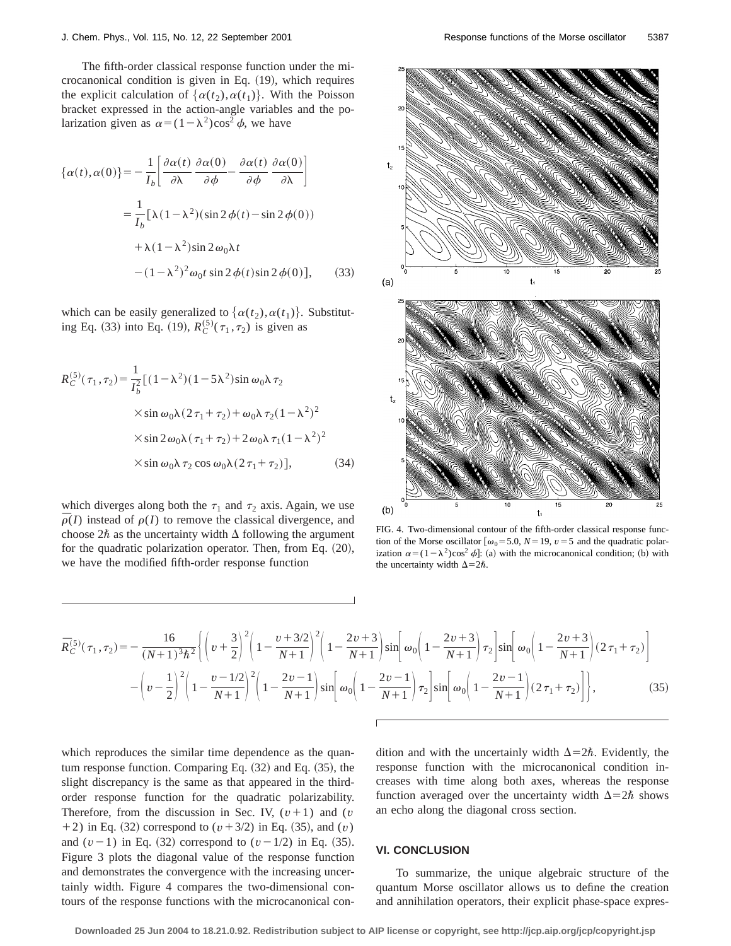The fifth-order classical response function under the microcanonical condition is given in Eq.  $(19)$ , which requires the explicit calculation of  $\{\alpha(t_2), \alpha(t_1)\}\)$ . With the Poisson bracket expressed in the action-angle variables and the polarization given as  $\alpha = (1 - \lambda^2)\cos^2 \phi$ , we have

$$
\{\alpha(t), \alpha(0)\} = -\frac{1}{I_b} \left[ \frac{\partial \alpha(t)}{\partial \lambda} \frac{\partial \alpha(0)}{\partial \phi} - \frac{\partial \alpha(t)}{\partial \phi} \frac{\partial \alpha(0)}{\partial \lambda} \right]
$$

$$
= \frac{1}{I_b} \left[ \lambda (1 - \lambda^2) (\sin 2\phi(t) - \sin 2\phi(0)) + \lambda (1 - \lambda^2) \sin 2\omega_0 \lambda t - (1 - \lambda^2)^2 \omega_0 t \sin 2\phi(t) \sin 2\phi(0) \right], \quad (33)
$$

which can be easily generalized to  $\{\alpha(t_2), \alpha(t_1)\}\)$ . Substituting Eq. (33) into Eq. (19),  $R_C^{(5)}(\tau_1, \tau_2)$  is given as

$$
R_C^{(5)}(\tau_1, \tau_2) = \frac{1}{I_b^2} [(1 - \lambda^2)(1 - 5\lambda^2) \sin \omega_0 \lambda \tau_2
$$
  
 
$$
\times \sin \omega_0 \lambda (2\tau_1 + \tau_2) + \omega_0 \lambda \tau_2 (1 - \lambda^2)^2
$$
  
 
$$
\times \sin 2\omega_0 \lambda (\tau_1 + \tau_2) + 2\omega_0 \lambda \tau_1 (1 - \lambda^2)^2
$$
  
 
$$
\times \sin \omega_0 \lambda \tau_2 \cos \omega_0 \lambda (2\tau_1 + \tau_2)], \qquad (34)
$$

which diverges along both the  $\tau_1$  and  $\tau_2$  axis. Again, we use  $\overline{\rho}(I)$  instead of  $\rho(I)$  to remove the classical divergence, and choose  $2\hbar$  as the uncertainty width  $\Delta$  following the argument for the quadratic polarization operator. Then, from Eq.  $(20)$ , we have the modified fifth-order response function



FIG. 4. Two-dimensional contour of the fifth-order classical response function of the Morse oscillator  $\omega_0 = 5.0$ ,  $N = 19$ ,  $v = 5$  and the quadratic polarization  $\alpha = (1 - \lambda^2)\cos^2 \phi$ : (a) with the microcanonical condition; (b) with the uncertainty width  $\Delta=2\hbar$ .

$$
\bar{R}_{C}^{(5)}(\tau_{1},\tau_{2}) = -\frac{16}{(N+1)^{3}\hbar^{2}} \left\{ \left( \nu + \frac{3}{2} \right)^{2} \left( 1 - \frac{\nu + 3/2}{N+1} \right)^{2} \left( 1 - \frac{2\nu + 3}{N+1} \right) \sin \left[ \omega_{0} \left( 1 - \frac{2\nu + 3}{N+1} \right) \tau_{2} \right] \sin \left[ \omega_{0} \left( 1 - \frac{2\nu + 3}{N+1} \right) (2\tau_{1} + \tau_{2}) \right] - \left( \nu - \frac{1}{2} \right)^{2} \left( 1 - \frac{\nu - 1/2}{N+1} \right)^{2} \left( 1 - \frac{2\nu - 1}{N+1} \right) \sin \left[ \omega_{0} \left( 1 - \frac{2\nu - 1}{N+1} \right) \tau_{2} \right] \sin \left[ \omega_{0} \left( 1 - \frac{2\nu - 1}{N+1} \right) (2\tau_{1} + \tau_{2}) \right] \right\},\tag{35}
$$

which reproduces the similar time dependence as the quantum response function. Comparing Eq.  $(32)$  and Eq.  $(35)$ , the slight discrepancy is the same as that appeared in the thirdorder response function for the quadratic polarizability. Therefore, from the discussion in Sec. IV,  $(v+1)$  and  $(v)$  $+2$ ) in Eq. (32) correspond to  $(v+3/2)$  in Eq. (35), and  $(v)$ and  $(v-1)$  in Eq. (32) correspond to  $(v-1/2)$  in Eq. (35). Figure 3 plots the diagonal value of the response function and demonstrates the convergence with the increasing uncertainly width. Figure 4 compares the two-dimensional contours of the response functions with the microcanonical condition and with the uncertainly width  $\Delta=2\hbar$ . Evidently, the response function with the microcanonical condition increases with time along both axes, whereas the response function averaged over the uncertainty width  $\Delta=2\hbar$  shows an echo along the diagonal cross section.

# **VI. CONCLUSION**

To summarize, the unique algebraic structure of the quantum Morse oscillator allows us to define the creation and annihilation operators, their explicit phase-space expres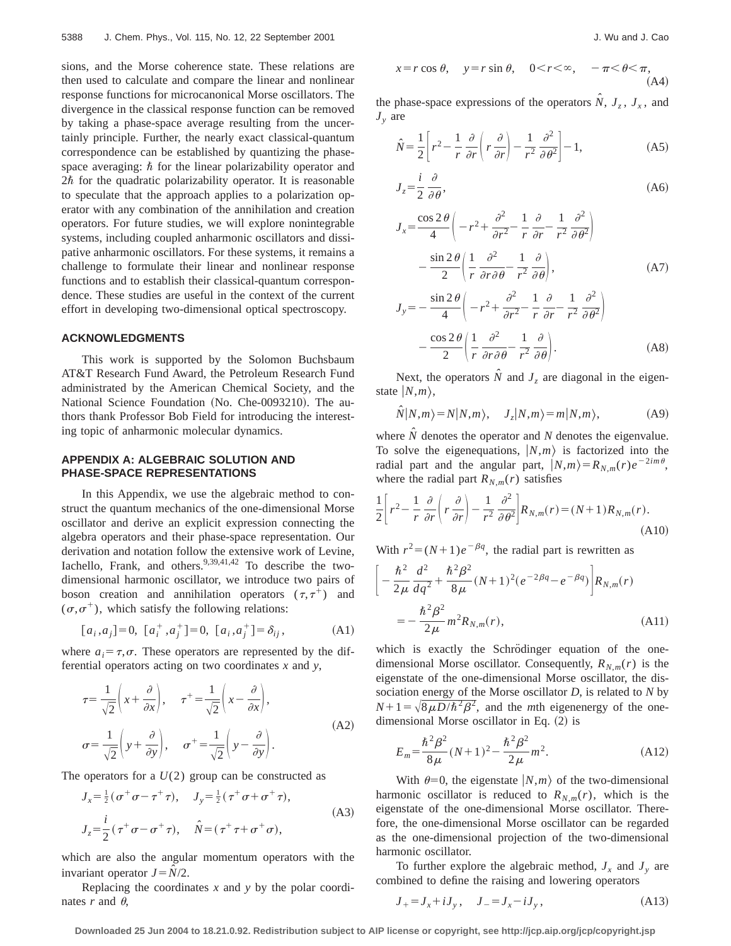sions, and the Morse coherence state. These relations are then used to calculate and compare the linear and nonlinear response functions for microcanonical Morse oscillators. The divergence in the classical response function can be removed by taking a phase-space average resulting from the uncertainly principle. Further, the nearly exact classical-quantum correspondence can be established by quantizing the phasespace averaging:  $\hbar$  for the linear polarizability operator and  $2\hbar$  for the quadratic polarizability operator. It is reasonable to speculate that the approach applies to a polarization operator with any combination of the annihilation and creation operators. For future studies, we will explore nonintegrable systems, including coupled anharmonic oscillators and dissipative anharmonic oscillators. For these systems, it remains a challenge to formulate their linear and nonlinear response functions and to establish their classical-quantum correspondence. These studies are useful in the context of the current effort in developing two-dimensional optical spectroscopy.

### **ACKNOWLEDGMENTS**

This work is supported by the Solomon Buchsbaum AT&T Research Fund Award, the Petroleum Research Fund administrated by the American Chemical Society, and the National Science Foundation (No. Che-0093210). The authors thank Professor Bob Field for introducing the interesting topic of anharmonic molecular dynamics.

### **APPENDIX A: ALGEBRAIC SOLUTION AND PHASE-SPACE REPRESENTATIONS**

In this Appendix, we use the algebraic method to construct the quantum mechanics of the one-dimensional Morse oscillator and derive an explicit expression connecting the algebra operators and their phase-space representation. Our derivation and notation follow the extensive work of Levine, Iachello, Frank, and others.<sup>9,39,41,42</sup> To describe the twodimensional harmonic oscillator, we introduce two pairs of boson creation and annihilation operators  $(\tau, \tau^+)$  and  $(\sigma,\sigma^+)$ , which satisfy the following relations:

$$
[a_i, a_j] = 0, [a_i^+, a_j^+] = 0, [a_i, a_j^+] = \delta_{ij},
$$
 (A1)

where  $a_i = \tau, \sigma$ . These operators are represented by the differential operators acting on two coordinates *x* and *y*,

$$
\tau = \frac{1}{\sqrt{2}} \left( x + \frac{\partial}{\partial x} \right), \quad \tau^+ = \frac{1}{\sqrt{2}} \left( x - \frac{\partial}{\partial x} \right),
$$
  
\n
$$
\sigma = \frac{1}{\sqrt{2}} \left( y + \frac{\partial}{\partial y} \right), \quad \sigma^+ = \frac{1}{\sqrt{2}} \left( y - \frac{\partial}{\partial y} \right).
$$
 (A2)

The operators for a  $U(2)$  group can be constructed as

$$
J_{x} = \frac{1}{2} (\sigma^{+} \sigma - \tau^{+} \tau), \quad J_{y} = \frac{1}{2} (\tau^{+} \sigma + \sigma^{+} \tau),
$$
  
\n
$$
J_{z} = \frac{i}{2} (\tau^{+} \sigma - \sigma^{+} \tau), \quad \hat{N} = (\tau^{+} \tau + \sigma^{+} \sigma),
$$
\n(A3)

which are also the angular momentum operators with the invariant operator  $J = N/2$ .

Replacing the coordinates *x* and *y* by the polar coordinates  $r$  and  $\theta$ .

$$
x = r \cos \theta, \quad y = r \sin \theta, \quad 0 < r < \infty, \quad -\pi < \theta < \pi,
$$
\n(A4)

the phase-space expressions of the operators  $\hat{N}$ ,  $J_z$ ,  $J_x$ , and  $J_{v}$  are

$$
\hat{N} = \frac{1}{2} \left[ r^2 - \frac{1}{r} \frac{\partial}{\partial r} \left( r \frac{\partial}{\partial r} \right) - \frac{1}{r^2} \frac{\partial^2}{\partial \theta^2} \right] - 1, \tag{A5}
$$

$$
J_z = \frac{i}{2} \frac{\partial}{\partial \theta},\tag{A6}
$$

$$
J_x = \frac{\cos 2\theta}{4} \left( -r^2 + \frac{\partial^2}{\partial r^2} - \frac{1}{r} \frac{\partial}{\partial r} - \frac{1}{r^2} \frac{\partial^2}{\partial \theta^2} \right) - \frac{\sin 2\theta}{2} \left( \frac{1}{r} \frac{\partial^2}{\partial r \partial \theta} - \frac{1}{r^2} \frac{\partial}{\partial \theta} \right),
$$
 (A7)

$$
J_y = -\frac{\sin 2\theta}{4} \left( -r^2 + \frac{\partial^2}{\partial r^2} - \frac{1}{r} \frac{\partial}{\partial r} - \frac{1}{r^2} \frac{\partial^2}{\partial \theta^2} \right)
$$

$$
-\frac{\cos 2\theta}{2} \left( \frac{1}{r} \frac{\partial^2}{\partial r \partial \theta} - \frac{1}{r^2} \frac{\partial}{\partial \theta} \right). \tag{A8}
$$

Next, the operators  $\hat{N}$  and  $J_z$  are diagonal in the eigenstate  $|N,m\rangle$ ,

$$
\hat{N}|N,m\rangle = N|N,m\rangle, \quad J_z|N,m\rangle = m|N,m\rangle, \tag{A9}
$$

where  $\hat{N}$  denotes the operator and  $N$  denotes the eigenvalue. To solve the eigenequations,  $|N,m\rangle$  is factorized into the radial part and the angular part,  $|N,m\rangle = R_{N,m}(r)e^{-2im\theta}$ , where the radial part  $R_{N,m}(r)$  satisfies

$$
\frac{1}{2}\left[r^2 - \frac{1}{r}\frac{\partial}{\partial r}\left(r\frac{\partial}{\partial r}\right) - \frac{1}{r^2}\frac{\partial^2}{\partial \theta^2}\right]R_{N,m}(r) = (N+1)R_{N,m}(r). \tag{A10}
$$

With  $r^2 = (N+1)e^{-\beta q}$ , the radial part is rewritten as

$$
\left[ -\frac{\hbar^2}{2\mu} \frac{d^2}{dq^2} + \frac{\hbar^2 \beta^2}{8\mu} (N+1)^2 (e^{-2\beta q} - e^{-\beta q}) \right] R_{N,m}(r)
$$
  
= 
$$
-\frac{\hbar^2 \beta^2}{2\mu} m^2 R_{N,m}(r),
$$
 (A11)

which is exactly the Schrödinger equation of the onedimensional Morse oscillator. Consequently,  $R_{N,m}(r)$  is the eigenstate of the one-dimensional Morse oscillator, the dissociation energy of the Morse oscillator *D*, is related to *N* by  $N+1=\sqrt{8\mu D/\hbar^2\beta^2}$ , and the *m*th eigenenergy of the onedimensional Morse oscillator in Eq.  $(2)$  is

$$
E_m = \frac{\hbar^2 \beta^2}{8\mu} (N+1)^2 - \frac{\hbar^2 \beta^2}{2\mu} m^2.
$$
 (A12)

With  $\theta=0$ , the eigenstate  $|N,m\rangle$  of the two-dimensional harmonic oscillator is reduced to  $R_{N,m}(r)$ , which is the eigenstate of the one-dimensional Morse oscillator. Therefore, the one-dimensional Morse oscillator can be regarded as the one-dimensional projection of the two-dimensional harmonic oscillator.

To further explore the algebraic method,  $J_x$  and  $J_y$  are combined to define the raising and lowering operators

$$
J_{+} = J_{x} + iJ_{y}, \quad J_{-} = J_{x} - iJ_{y}, \tag{A13}
$$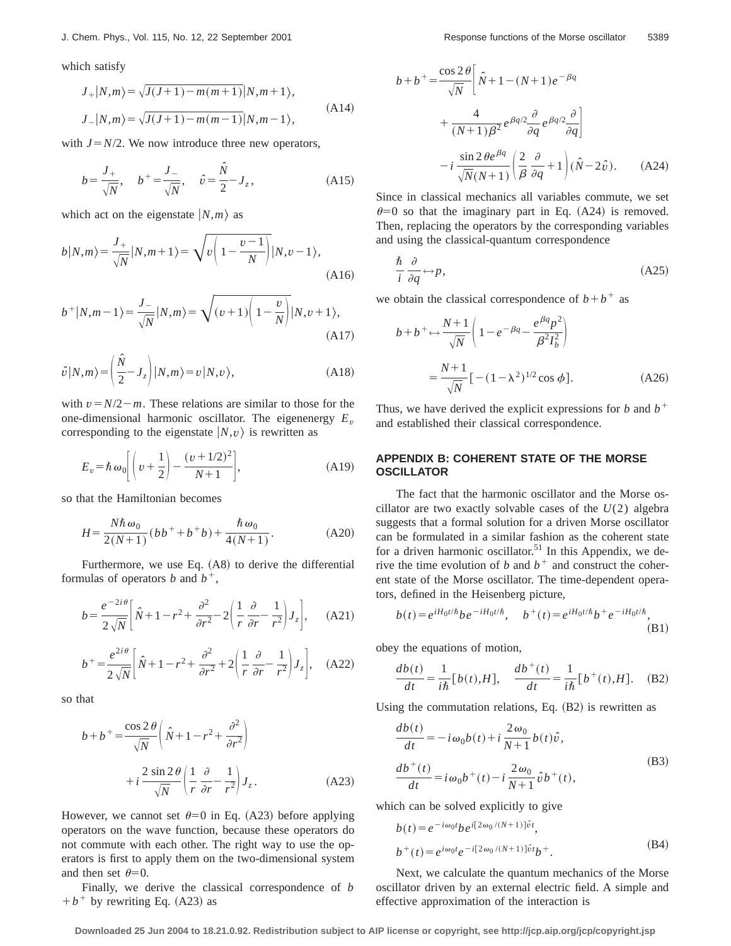which satisfy

$$
J_{+}|N,m\rangle = \sqrt{J(J+1) - m(m+1)}|N,m+1\rangle,
$$
  
\n
$$
J_{-}|N,m\rangle = \sqrt{J(J+1) - m(m-1)}|N,m-1\rangle,
$$
\n(A14)

with  $J=N/2$ . We now introduce three new operators,

$$
b = \frac{J_+}{\sqrt{N}}, \quad b^+ = \frac{J_-}{\sqrt{N}}, \quad \hat{v} = \frac{\hat{N}}{2} - J_z,
$$
 (A15)

which act on the eigenstate  $|N,m\rangle$  as

$$
b|N,m\rangle = \frac{J_+}{\sqrt{N}}|N,m+1\rangle = \sqrt{v\left(1 - \frac{v-1}{N}\right)}|N,v-1\rangle,
$$
\n(A16)

$$
b^{+}|N,m-1\rangle = \frac{J_{-}}{\sqrt{N}}|N,m\rangle = \sqrt{(v+1)\left(1-\frac{v}{N}\right)}|N,v+1\rangle,
$$
\n(A17)

$$
\hat{v}|N,m\rangle = \left(\frac{\hat{N}}{2} - J_z\right)|N,m\rangle = v|N,v\rangle, \tag{A18}
$$

with  $v = N/2 - m$ . These relations are similar to those for the one-dimensional harmonic oscillator. The eigenenergy  $E<sub>v</sub>$ corresponding to the eigenstate  $|N, v\rangle$  is rewritten as

$$
E_v = \hbar \omega_0 \left[ \left( v + \frac{1}{2} \right) - \frac{(v + 1/2)^2}{N + 1} \right],
$$
 (A19)

so that the Hamiltonian becomes

$$
H = \frac{N\hbar\,\omega_0}{2(N+1)}(bb^+ + b^+b) + \frac{\hbar\,\omega_0}{4(N+1)}.
$$
 (A20)

Furthermore, we use Eq.  $(A8)$  to derive the differential formulas of operators *b* and  $b^+$ ,

$$
b = \frac{e^{-2i\theta}}{2\sqrt{N}} \left[ \hat{N} + 1 - r^2 + \frac{\partial^2}{\partial r^2} - 2 \left( \frac{1}{r} \frac{\partial}{\partial r} - \frac{1}{r^2} \right) J_z \right], \quad (A21)
$$

$$
b^{+} = \frac{e^{2i\theta}}{2\sqrt{N}} \left[ \hat{N} + 1 - r^2 + \frac{\partial^2}{\partial r^2} + 2 \left( \frac{1}{r} \frac{\partial}{\partial r} - \frac{1}{r^2} \right) J_z \right], \quad \text{(A22)}
$$

so that

$$
b+b^{+} = \frac{\cos 2\theta}{\sqrt{N}} \left( \hat{N} + 1 - r^{2} + \frac{\partial^{2}}{\partial r^{2}} \right)
$$

$$
+ i \frac{2 \sin 2\theta}{\sqrt{N}} \left( \frac{1}{r} \frac{\partial}{\partial r} - \frac{1}{r^{2}} \right) J_{z}. \tag{A23}
$$

However, we cannot set  $\theta=0$  in Eq. (A23) before applying operators on the wave function, because these operators do not commute with each other. The right way to use the operators is first to apply them on the two-dimensional system and then set  $\theta=0$ .

Finally, we derive the classical correspondence of *b*  $+b^+$  by rewriting Eq. (A23) as

$$
b+b^{+} = \frac{\cos 2 \theta}{\sqrt{N}} \left[ \hat{N} + 1 - (N+1) e^{-\beta q} + \frac{4}{(N+1)\beta^{2}} e^{\beta q/2} \frac{\partial}{\partial q} e^{\beta q/2} \frac{\partial}{\partial q} \right]
$$

$$
-i \frac{\sin 2 \theta e^{\beta q}}{\sqrt{N}(N+1)} \left( \frac{2}{\beta} \frac{\partial}{\partial q} + 1 \right) (\hat{N} - 2\hat{v}). \tag{A24}
$$

Since in classical mechanics all variables commute, we set  $\theta$ =0 so that the imaginary part in Eq. (A24) is removed. Then, replacing the operators by the corresponding variables and using the classical-quantum correspondence

$$
\frac{\hbar}{i} \frac{\partial}{\partial q} \leftrightarrow p,\tag{A25}
$$

we obtain the classical correspondence of  $b+b^+$  as

$$
b+b+\leftrightarrow \frac{N+1}{\sqrt{N}}\left(1-e^{-\beta q}-\frac{e^{\beta q}p^2}{\beta^2 I_b^2}\right)
$$

$$
=\frac{N+1}{\sqrt{N}}[-(1-\lambda^2)^{1/2}\cos\phi].\tag{A26}
$$

Thus, we have derived the explicit expressions for *b* and  $b^+$ and established their classical correspondence.

### **APPENDIX B: COHERENT STATE OF THE MORSE OSCILLATOR**

The fact that the harmonic oscillator and the Morse oscillator are two exactly solvable cases of the *U*(2) algebra suggests that a formal solution for a driven Morse oscillator can be formulated in a similar fashion as the coherent state for a driven harmonic oscillator.<sup>51</sup> In this Appendix, we derive the time evolution of *b* and  $b^+$  and construct the coherent state of the Morse oscillator. The time-dependent operators, defined in the Heisenberg picture,

$$
b(t) = e^{iH_0t/\hbar}be^{-iH_0t/\hbar}, \quad b^+(t) = e^{iH_0t/\hbar}b^+e^{-iH_0t/\hbar},
$$
\n(B1)

obey the equations of motion,

$$
\frac{db(t)}{dt} = \frac{1}{i\hbar} [b(t), H], \quad \frac{db^+(t)}{dt} = \frac{1}{i\hbar} [b^+(t), H]. \quad (B2)
$$

Using the commutation relations, Eq.  $(B2)$  is rewritten as

$$
\frac{db(t)}{dt} = -i\omega_0 b(t) + i\frac{2\omega_0}{N+1}b(t)\hat{v},
$$
  
\n
$$
\frac{db^+(t)}{dt} = i\omega_0 b^+(t) - i\frac{2\omega_0}{N+1}\hat{v}b^+(t),
$$
\n(B3)

which can be solved explicitly to give

$$
b(t) = e^{-i\omega_0 t} b e^{i[2\omega_0/(N+1)]\hat{v}t},
$$
  
\n
$$
b^+(t) = e^{i\omega_0 t} e^{-i[2\omega_0/(N+1)]\hat{v}t} b^+.
$$
\n(B4)

Next, we calculate the quantum mechanics of the Morse oscillator driven by an external electric field. A simple and effective approximation of the interaction is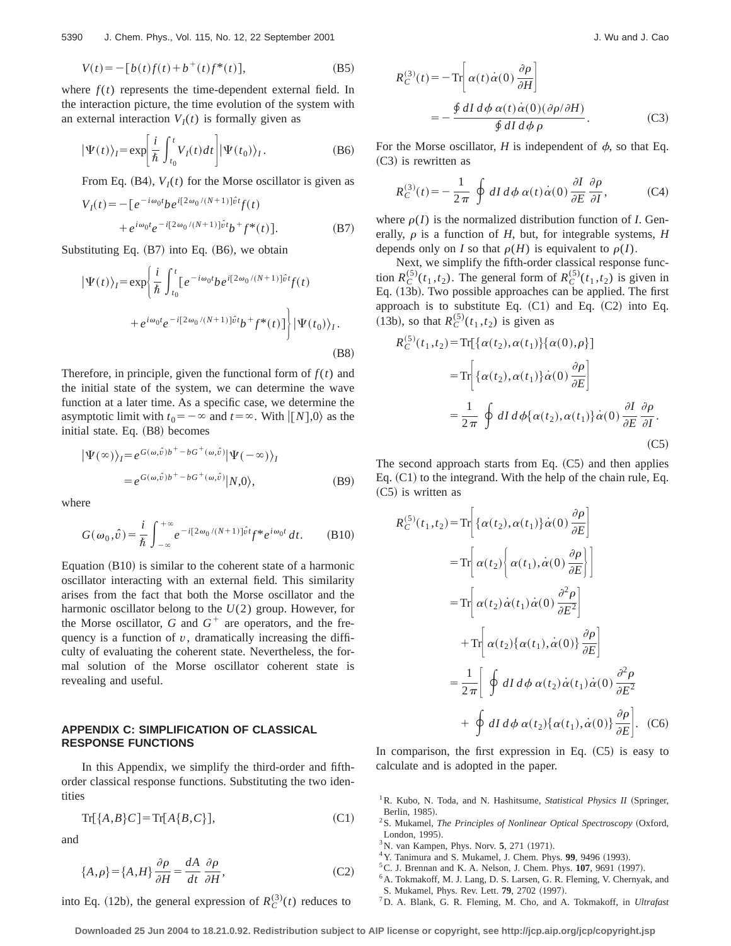$$
V(t) = -[b(t)f(t) + b^{+}(t)f^{*}(t)],
$$
\n(B5)

where  $f(t)$  represents the time-dependent external field. In the interaction picture, the time evolution of the system with an external interaction  $V_I(t)$  is formally given as

$$
|\Psi(t)\rangle_I = \exp\left[\frac{i}{\hbar} \int_{t_0}^t V_I(t) dt\right] |\Psi(t_0)\rangle_I.
$$
 (B6)

From Eq.  $(B4)$ ,  $V_I(t)$  for the Morse oscillator is given as

$$
V_{I}(t) = -[e^{-i\omega_{0}t}be^{i[2\omega_{0}/(N+1)]\hat{v}t}f(t) + e^{i\omega_{0}t}e^{-i[2\omega_{0}/(N+1)]\hat{v}t}b^{+}f^{*}(t)].
$$
\n(B7)

Substituting Eq.  $(B7)$  into Eq.  $(B6)$ , we obtain

$$
|\Psi(t)\rangle_I = \exp\left\{\frac{i}{\hbar} \int_{t_0}^t [e^{-i\omega_0 t} b e^{i[2\omega_0/(N+1)]\hat{v}t} f(t) + e^{i\omega_0 t} e^{-i[2\omega_0/(N+1)]\hat{v}t} b^+ f^*(t)]\right\} |\Psi(t_0)\rangle_I.
$$
\n(B8)

Therefore, in principle, given the functional form of  $f(t)$  and the initial state of the system, we can determine the wave function at a later time. As a specific case, we determine the asymptotic limit with  $t_0 = -\infty$  and  $t = \infty$ . With  $\vert [N],0 \rangle$  as the initial state. Eq.  $(B8)$  becomes

$$
\begin{aligned} \left| \Psi(\infty) \right\rangle_{I} &= e^{G(\omega,\hat{v})b^{+} - bG^{+}(\omega,\hat{v})} \left| \Psi(-\infty) \right\rangle_{I} \\ &= e^{G(\omega,\hat{v})b^{+} - bG^{+}(\omega,\hat{v})} \left| N,0 \right\rangle, \end{aligned} \tag{B9}
$$

where

$$
G(\omega_0, \hat{v}) = \frac{i}{\hbar} \int_{-\infty}^{+\infty} e^{-i[2\omega_0/(N+1)]\hat{v}t} f^* e^{i\omega_0 t} dt.
$$
 (B10)

Equation  $(B10)$  is similar to the coherent state of a harmonic oscillator interacting with an external field. This similarity arises from the fact that both the Morse oscillator and the harmonic oscillator belong to the *U*(2) group. However, for the Morse oscillator,  $G$  and  $G^+$  are operators, and the frequency is a function of  $v$ , dramatically increasing the difficulty of evaluating the coherent state. Nevertheless, the formal solution of the Morse oscillator coherent state is revealing and useful.

# **APPENDIX C: SIMPLIFICATION OF CLASSICAL RESPONSE FUNCTIONS**

In this Appendix, we simplify the third-order and fifthorder classical response functions. Substituting the two identities

$$
\operatorname{Tr}[\{A,B\}C] = \operatorname{Tr}[A\{B,C\}],\tag{C1}
$$

and

$$
\{A,\rho\} = \{A,H\} \frac{\partial \rho}{\partial H} = \frac{dA}{dt} \frac{\partial \rho}{\partial H},\tag{C2}
$$

into Eq. (12b), the general expression of  $R_C^{(3)}(t)$  reduces to

$$
R_C^{(3)}(t) = -\operatorname{Tr}\left[\alpha(t)\dot{\alpha}(0)\frac{\partial \rho}{\partial H}\right]
$$
  
= 
$$
-\frac{\oint dI d\phi \alpha(t)\dot{\alpha}(0)(\partial \rho/\partial H)}{\oint dI d\phi \rho}.
$$
 (C3)

For the Morse oscillator,  $H$  is independent of  $\phi$ , so that Eq.  $(C3)$  is rewritten as

$$
R_C^{(3)}(t) = -\frac{1}{2\pi} \oint dI \, d\phi \, \alpha(t) \dot{\alpha}(0) \frac{\partial I}{\partial E} \frac{\partial \rho}{\partial I}, \qquad (C4)
$$

where  $\rho(I)$  is the normalized distribution function of *I*. Generally,  $\rho$  is a function of *H*, but, for integrable systems, *H* depends only on *I* so that  $\rho(H)$  is equivalent to  $\rho(I)$ .

Next, we simplify the fifth-order classical response function  $R_C^{(5)}(t_1,t_2)$ . The general form of  $R_C^{(5)}(t_1,t_2)$  is given in Eq. (13b). Two possible approaches can be applied. The first approach is to substitute Eq.  $(C1)$  and Eq.  $(C2)$  into Eq. (13b), so that  $R_C^{(5)}(t_1, t_2)$  is given as

$$
R_C^{(5)}(t_1, t_2) = \text{Tr}[\{\alpha(t_2), \alpha(t_1)\}\{\alpha(0), \rho\}]
$$
  
\n
$$
= \text{Tr}\left[\{\alpha(t_2), \alpha(t_1)\}\dot{\alpha}(0) \frac{\partial \rho}{\partial E}\right]
$$
  
\n
$$
= \frac{1}{2\pi} \oint dI d\phi \{\alpha(t_2), \alpha(t_1)\}\dot{\alpha}(0) \frac{\partial I}{\partial E} \frac{\partial \rho}{\partial I}.
$$
  
\n(C5)

The second approach starts from Eq.  $(C5)$  and then applies Eq.  $(C1)$  to the integrand. With the help of the chain rule, Eq.  $(C5)$  is written as

$$
R_C^{(5)}(t_1, t_2) = \text{Tr}\left[\{\alpha(t_2), \alpha(t_1)\}\dot{\alpha}(0) \frac{\partial \rho}{\partial E}\right]
$$
  
\n
$$
= \text{Tr}\left[\alpha(t_2)\left\{\alpha(t_1), \dot{\alpha}(0) \frac{\partial \rho}{\partial E}\right\}\right]
$$
  
\n
$$
= \text{Tr}\left[\alpha(t_2)\dot{\alpha}(t_1)\dot{\alpha}(0) \frac{\partial^2 \rho}{\partial E^2}\right]
$$
  
\n
$$
+ \text{Tr}\left[\alpha(t_2)\{\alpha(t_1), \dot{\alpha}(0)\}\frac{\partial \rho}{\partial E}\right]
$$
  
\n
$$
= \frac{1}{2\pi}\left[\oint dI \,d\phi \, \alpha(t_2)\dot{\alpha}(t_1)\dot{\alpha}(0) \frac{\partial^2 \rho}{\partial E^2}\right]
$$
  
\n
$$
+ \oint dI \,d\phi \, \alpha(t_2)\{\alpha(t_1), \dot{\alpha}(0)\}\frac{\partial \rho}{\partial E}\right].
$$
 (C6)

In comparison, the first expression in Eq.  $(C5)$  is easy to calculate and is adopted in the paper.

- <sup>1</sup> R. Kubo, N. Toda, and N. Hashitsume, *Statistical Physics II* (Springer, Berlin, 1985).
- <sup>2</sup>S. Mukamel, *The Principles of Nonlinear Optical Spectroscopy* (Oxford, London, 1995).
- <sup>3</sup>N. van Kampen, Phys. Norv. **5**, 271 (1971).
- <sup>4</sup> Y. Tanimura and S. Mukamel, J. Chem. Phys. **99**, 9496 (1993).
- ${}^5C$ . J. Brennan and K. A. Nelson, J. Chem. Phys. **107**, 9691 (1997).
- <sup>6</sup> A. Tokmakoff, M. J. Lang, D. S. Larsen, G. R. Fleming, V. Chernyak, and
- S. Mukamel, Phys. Rev. Lett. **79**, 2702 (1997).
- 7D. A. Blank, G. R. Fleming, M. Cho, and A. Tokmakoff, in *Ultrafast*